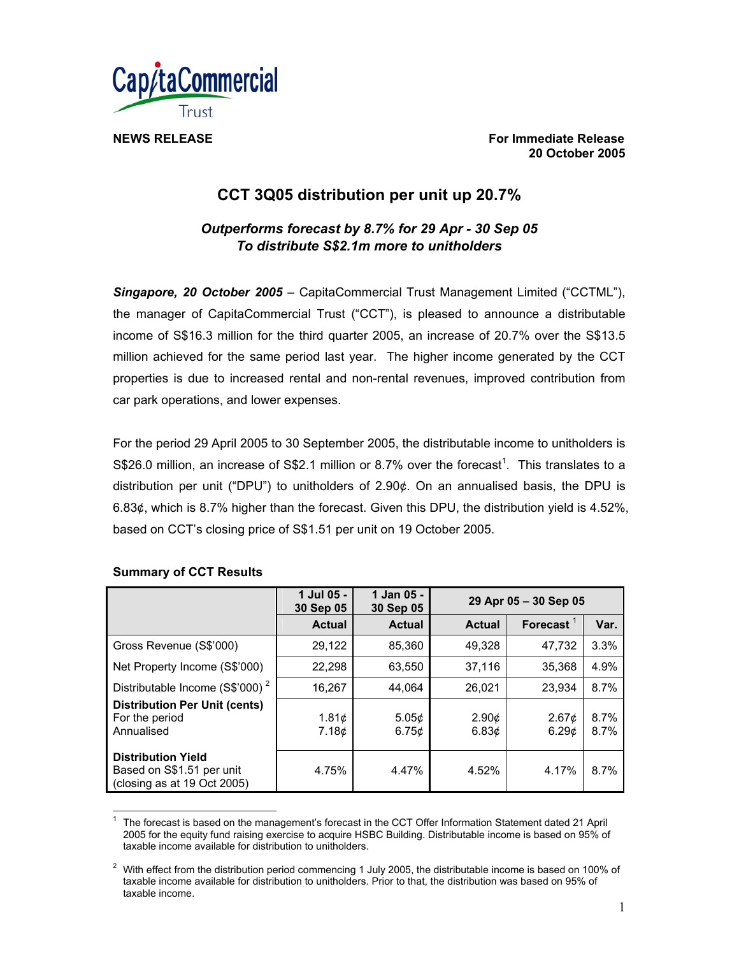

**NEWS RELEASE For Immediate Release For Immediate Release 20 October 2005** 

# **CCT 3Q05 distribution per unit up 20.7%**

# *Outperforms forecast by 8.7% for 29 Apr - 30 Sep 05 To distribute S\$2.1m more to unitholders*

*Singapore, 20 October 2005* – CapitaCommercial Trust Management Limited ("CCTML"), the manager of CapitaCommercial Trust ("CCT"), is pleased to announce a distributable income of S\$16.3 million for the third quarter 2005, an increase of 20.7% over the S\$13.5 million achieved for the same period last year. The higher income generated by the CCT properties is due to increased rental and non-rental revenues, improved contribution from car park operations, and lower expenses.

For the period 29 April 2005 to 30 September 2005, the distributable income to unitholders is S\$26.0 million, an increase of S\$2.1 million or 8.7% over the forecast<sup>1</sup>. This translates to a distribution per unit ("DPU") to unitholders of 2.90¢. On an annualised basis, the DPU is 6.83¢, which is 8.7% higher than the forecast. Given this DPU, the distribution yield is 4.52%, based on CCT's closing price of S\$1.51 per unit on 19 October 2005.

|                                                                                       | 1 Jul 05 -<br>30 Sep 05 | 1 Jan 05 -<br>30 Sep 05 | 29 Apr 05 - 30 Sep 05      |                            |              |
|---------------------------------------------------------------------------------------|-------------------------|-------------------------|----------------------------|----------------------------|--------------|
|                                                                                       | <b>Actual</b>           | <b>Actual</b>           | <b>Actual</b>              | Forecast $1$               | Var.         |
| Gross Revenue (S\$'000)                                                               | 29,122                  | 85,360                  | 49,328                     | 47.732                     | 3.3%         |
| Net Property Income (S\$'000)                                                         | 22,298                  | 63,550                  | 37,116                     | 35.368                     | 4.9%         |
| Distributable Income (S\$'000) <sup>2</sup>                                           | 16,267                  | 44.064                  | 26.021                     | 23.934                     | 8.7%         |
| <b>Distribution Per Unit (cents)</b><br>For the period<br>Annualised                  | 1.81¢<br>7.18¢          | 5.05¢<br>6.75c          | 2.90¢<br>6.83 <sub>c</sub> | 2.67 <sub>c</sub><br>6.29c | 8.7%<br>8.7% |
| <b>Distribution Yield</b><br>Based on S\$1.51 per unit<br>(closing as at 19 Oct 2005) | 4.75%                   | 4.47%                   | 4.52%                      | 4.17%                      | 8.7%         |

# **Summary of CCT Results**

 $\overline{a}$ 1 The forecast is based on the management's forecast in the CCT Offer Information Statement dated 21 April 2005 for the equity fund raising exercise to acquire HSBC Building. Distributable income is based on 95% of taxable income available for distribution to unitholders.

<sup>2</sup> With effect from the distribution period commencing 1 July 2005, the distributable income is based on 100% of taxable income available for distribution to unitholders. Prior to that, the distribution was based on 95% of taxable income.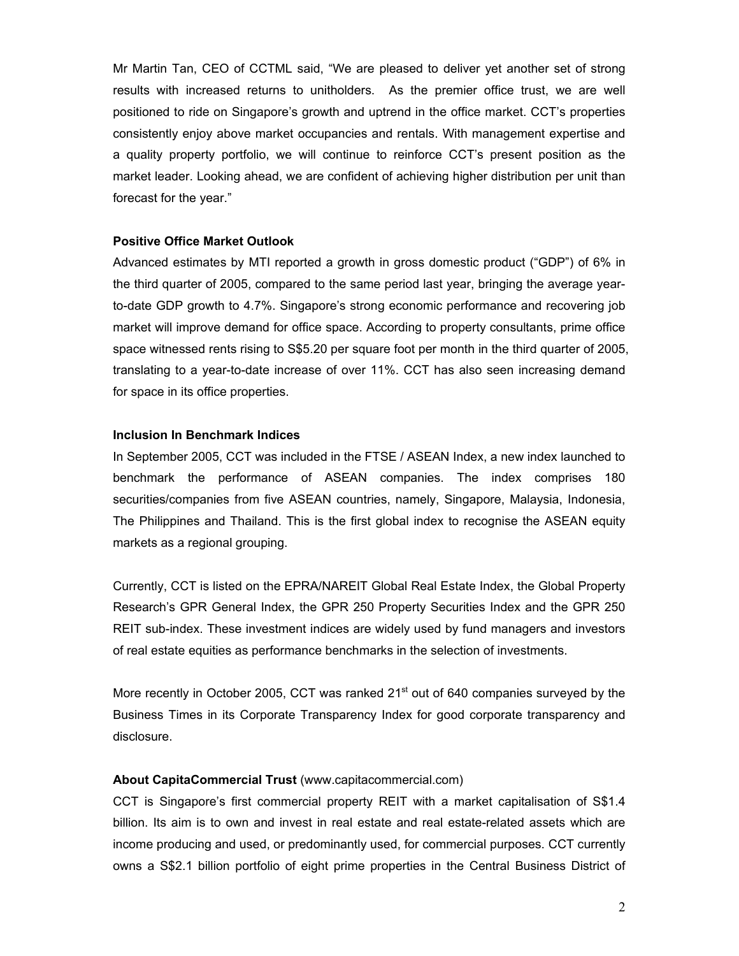Mr Martin Tan, CEO of CCTML said, "We are pleased to deliver yet another set of strong results with increased returns to unitholders. As the premier office trust, we are well positioned to ride on Singapore's growth and uptrend in the office market. CCT's properties consistently enjoy above market occupancies and rentals. With management expertise and a quality property portfolio, we will continue to reinforce CCT's present position as the market leader. Looking ahead, we are confident of achieving higher distribution per unit than forecast for the year."

# **Positive Office Market Outlook**

Advanced estimates by MTI reported a growth in gross domestic product ("GDP") of 6% in the third quarter of 2005, compared to the same period last year, bringing the average yearto-date GDP growth to 4.7%. Singapore's strong economic performance and recovering job market will improve demand for office space. According to property consultants, prime office space witnessed rents rising to S\$5.20 per square foot per month in the third quarter of 2005, translating to a year-to-date increase of over 11%. CCT has also seen increasing demand for space in its office properties.

### **Inclusion In Benchmark Indices**

In September 2005, CCT was included in the FTSE / ASEAN Index, a new index launched to benchmark the performance of ASEAN companies. The index comprises 180 securities/companies from five ASEAN countries, namely, Singapore, Malaysia, Indonesia, The Philippines and Thailand. This is the first global index to recognise the ASEAN equity markets as a regional grouping.

Currently, CCT is listed on the EPRA/NAREIT Global Real Estate Index, the Global Property Research's GPR General Index, the GPR 250 Property Securities Index and the GPR 250 REIT sub-index. These investment indices are widely used by fund managers and investors of real estate equities as performance benchmarks in the selection of investments.

More recently in October 2005, CCT was ranked 21<sup>st</sup> out of 640 companies surveyed by the Business Times in its Corporate Transparency Index for good corporate transparency and disclosure.

#### **About CapitaCommercial Trust** (www.capitacommercial.com)

CCT is Singapore's first commercial property REIT with a market capitalisation of S\$1.4 billion. Its aim is to own and invest in real estate and real estate-related assets which are income producing and used, or predominantly used, for commercial purposes. CCT currently owns a S\$2.1 billion portfolio of eight prime properties in the Central Business District of